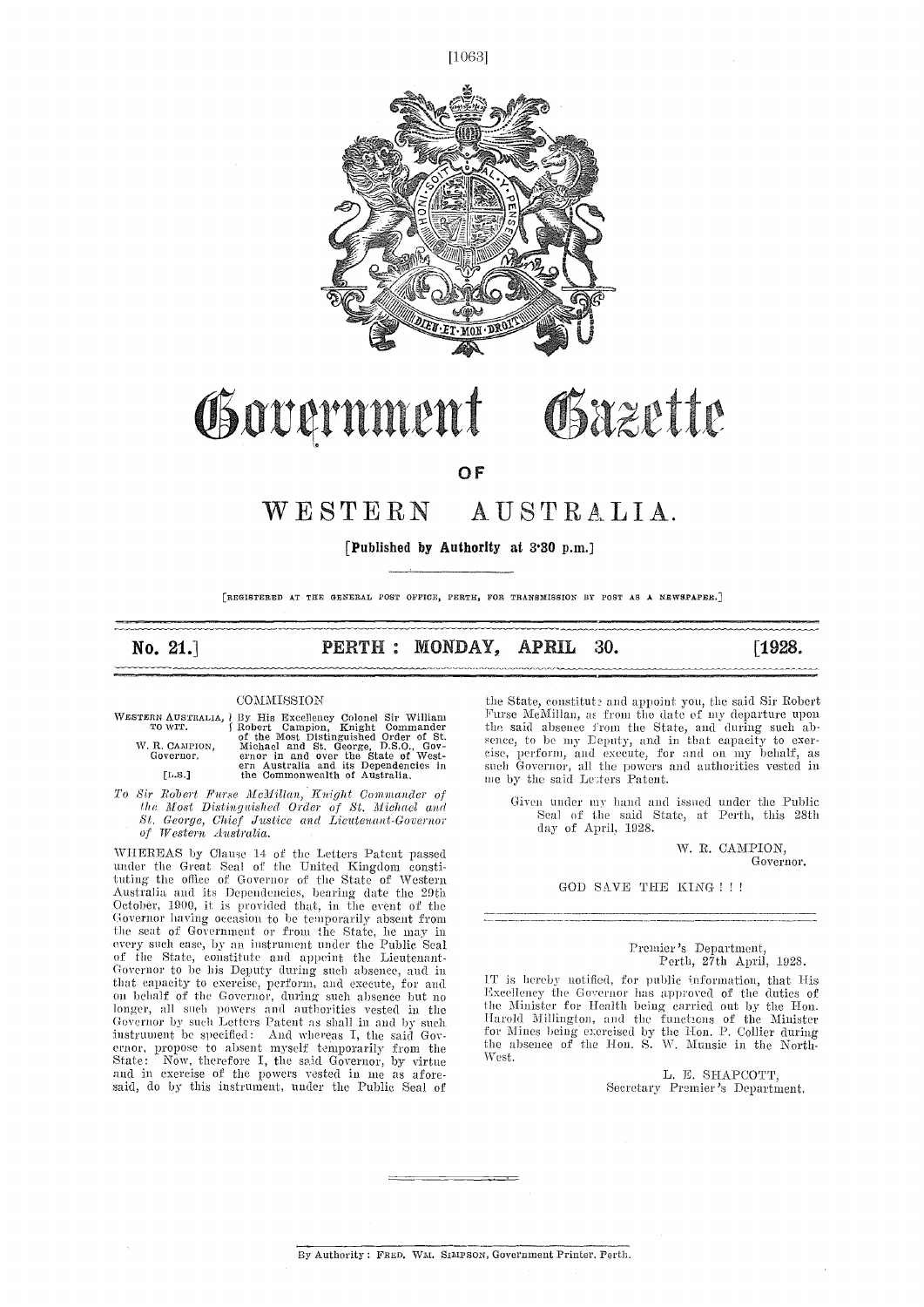$[1063]$ 



## Governmen Osazette

OF

## WESTERN AUSTRALIA.

[Published by Authority at 3.30 p.m.]

[REGISTERED AT TRF. GENERAL POST OFFICE, PERTH, FOR TRANSMISSION DT POST AS A NEWSPAPER.]

No. 21.] **PERTH : MONDAY, APRIL 30.** [1928.]

#### **COMMISSION**

| VESTERN AUSTRALIA, † BY |                  |
|-------------------------|------------------|
| TO WIT.                 | $\int \text{Rc}$ |
|                         | of               |
| W. R. CAMPION.          | м                |
| Governor.               | er               |
|                         | er               |
|                         |                  |

- WESTERN AUSTRALIA, 1 By His Excellency Colonel Sir William TOWIT. (Robert Campion, Knight Commander the said of the Most Distinguished Order of St.<br>W.R.CAMPION, Michael and St. George, D.S.O., Governor, and over the State
- To Sir Robert Furse McMillan, Knight Commander of<br>the Most Distinguished Order of St. Michael and the Most Distinguished Order of Sr Michael and St. George, Chief justice and Lieutenant-Governor of Western Australia.

WHEREAS by Clause 14 of the Letters Patent passed under the Great Seal of the United Kingdom constituting the office of Governor of the State of Western<br>Australia and its Dependencies, bearing date the 29th<br>October, 1900, it is provided that, in the event of the<br>Governor having occasion to be temporarily absent from Governor having occasion to be temporarily absent from the seat of Government or from the State, he may in every such case, by an instrument under the Public Seal of the State, constitute and appoint the Lieutenant- Governor to be his Deputy during such absence, and in that capacity to exercise, perform, and execute, for and that capacity to exercise, perform, and execute, for and  $\frac{11}{2}$  is<br>on behalf of the Governor, during such absence but no  $\frac{11}{2}$ longer, all such powers and authorities vested in the  $\frac{1}{10}$  Governor by such Letters Patent as shall in and by such  $\frac{1}{2}$ instrument be specified: And whereas I, the said Gov-<br>ernor, propose to absent myself temporarily from the the<br>State: Now, therefore I, the said Governor, by virtue Wes<br>and in exercise of the powers vested in me as afore-<br>

the State, constitute and appoint you, the said Sir Robert Furse McMillan, as from the date of my departure upon the said absence from the State, and during such abthe said absence from the State, and during such absence, to be my Deputy, and in that capacity to exer-<br>cise, perform, and execute, for and on my behalf, as such Governor, all the powers and authorities vested in me by the said Letters Patent.

Given under my hand and issued under the Public Seal of the said State, at Perth, this 28th day of April, 1928.

> W. R. CAMPION, Governor.

#### GOD SAVE THE KING ! ! !

Premier's Department, Perth, 27th April, 1928.

IT is hereby notified, for public Information, that His Excellency the Governor has approved of the duties of the Minister for Health being carried out by the Hon. the Minister for Health being carried out by the Hon.<br>Harold Millington, and the functions of the Minister for Mines being exercised by the Ron. P. Collier during the absence of the HON. S. W. Munsie in the North-West.

> L, E. SHAPCOTT, Secretary Premier's Department.

By Authority : FRED. WM. SIMPSON, Government Printer, Perth.